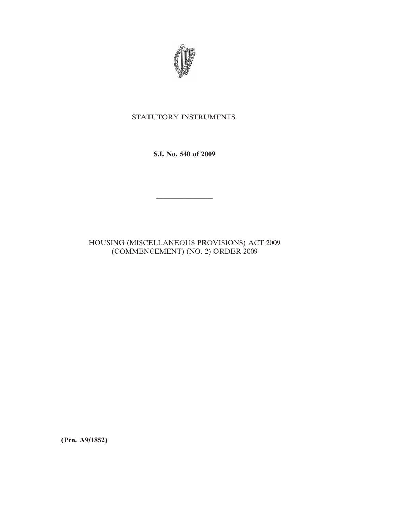

## STATUTORY INSTRUMENTS.

**S.I. No. 540 of 2009**

————————

## HOUSING (MISCELLANEOUS PROVISIONS) ACT 2009 (COMMENCEMENT) (NO. 2) ORDER 2009

**(Prn. A9/1852)**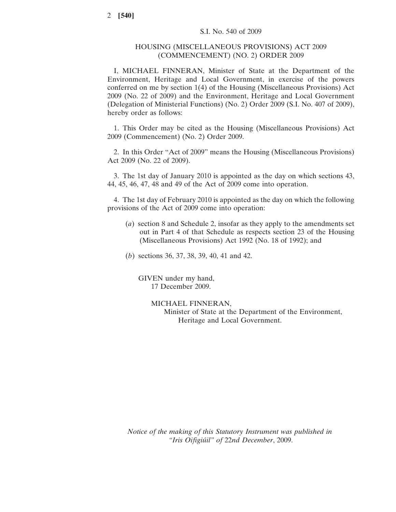## HOUSING (MISCELLANEOUS PROVISIONS) ACT 2009 (COMMENCEMENT) (NO. 2) ORDER 2009

I, MICHAEL FINNERAN, Minister of State at the Department of the Environment, Heritage and Local Government, in exercise of the powers conferred on me by section 1(4) of the Housing (Miscellaneous Provisions) Act 2009 (No. 22 of 2009) and the Environment, Heritage and Local Government (Delegation of Ministerial Functions) (No. 2) Order 2009 (S.I. No. 407 of 2009), hereby order as follows:

1. This Order may be cited as the Housing (Miscellaneous Provisions) Act 2009 (Commencement) (No. 2) Order 2009.

2. In this Order "Act of 2009" means the Housing (Miscellaneous Provisions) Act 2009 (No. 22 of 2009).

3. The 1st day of January 2010 is appointed as the day on which sections 43, 44, 45, 46, 47, 48 and 49 of the Act of 2009 come into operation.

4. The 1st day of February 2010 is appointed as the day on which the following provisions of the Act of 2009 come into operation:

- (*a*) section 8 and Schedule 2, insofar as they apply to the amendments set out in Part 4 of that Schedule as respects section 23 of the Housing (Miscellaneous Provisions) Act 1992 (No. 18 of 1992); and
- (*b*) sections 36, 37, 38, 39, 40, 41 and 42.

GIVEN under my hand, 17 December 2009.

> MICHAEL FINNERAN, Minister of State at the Department of the Environment, Heritage and Local Government.

*Notice of the making of this Statutory Instrument was published in "Iris Oifigiúil" of* 22*nd December*, 2009.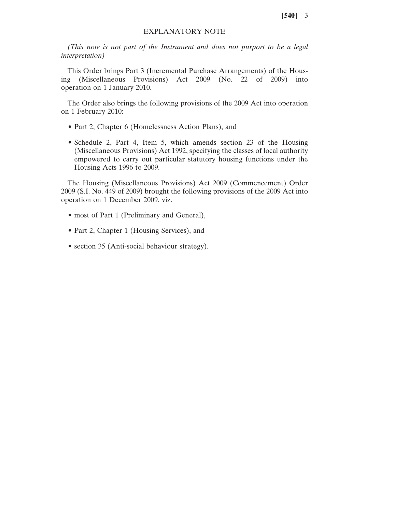## EXPLANATORY NOTE

*(This note is not part of the Instrument and does not purport to be a legal interpretation)*

This Order brings Part 3 (Incremental Purchase Arrangements) of the Housing (Miscellaneous Provisions) Act 2009 (No. 22 of 2009) into operation on 1 January 2010.

The Order also brings the following provisions of the 2009 Act into operation on 1 February 2010:

- Part 2, Chapter 6 (Homelessness Action Plans), and
- Schedule 2, Part 4, Item 5, which amends section 23 of the Housing (Miscellaneous Provisions) Act 1992, specifying the classes of local authority empowered to carry out particular statutory housing functions under the Housing Acts 1996 to 2009.

The Housing (Miscellaneous Provisions) Act 2009 (Commencement) Order 2009 (S.I. No. 449 of 2009) brought the following provisions of the 2009 Act into operation on 1 December 2009, viz.

- most of Part 1 (Preliminary and General),
- Part 2, Chapter 1 (Housing Services), and
- section 35 (Anti-social behaviour strategy).